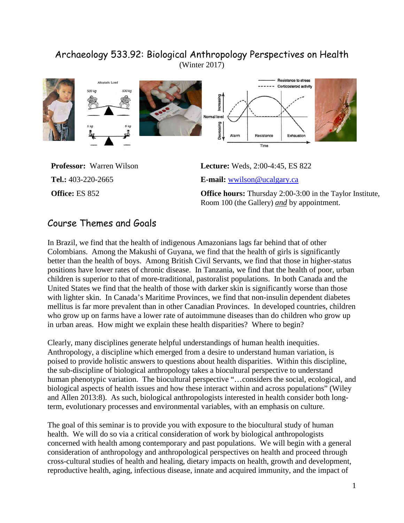# Archaeology 533.92: Biological Anthropology Perspectives on Health (Winter 2017)



**Professor:** Warren Wilson **Lecture:** Weds, 2:00-4:45, ES 822 **Tel.:** 403-220-2665 **E-mail:** [wwilson@ucalgary.ca](mailto:wwilson@ucalgary.ca)

**Office:** ES 852 **Office hours:** Thursday 2:00-3:00 in the Taylor Institute, Room 100 (the Gallery) *and* by appointment.

# Course Themes and Goals

In Brazil, we find that the health of indigenous Amazonians lags far behind that of other Colombians. Among the Makushi of Guyana, we find that the health of girls is significantly better than the health of boys. Among British Civil Servants, we find that those in higher-status positions have lower rates of chronic disease. In Tanzania, we find that the health of poor, urban children is superior to that of more-traditional, pastoralist populations. In both Canada and the United States we find that the health of those with darker skin is significantly worse than those with lighter skin. In Canada's Maritime Provinces, we find that non-insulin dependent diabetes mellitus is far more prevalent than in other Canadian Provinces. In developed countries, children who grow up on farms have a lower rate of autoimmune diseases than do children who grow up in urban areas. How might we explain these health disparities? Where to begin?

Clearly, many disciplines generate helpful understandings of human health inequities. Anthropology, a discipline which emerged from a desire to understand human variation, is poised to provide holistic answers to questions about health disparities. Within this discipline, the sub-discipline of biological anthropology takes a biocultural perspective to understand human phenotypic variation. The biocultural perspective "...considers the social, ecological, and biological aspects of health issues and how these interact within and across populations" (Wiley and Allen 2013:8). As such, biological anthropologists interested in health consider both longterm, evolutionary processes and environmental variables, with an emphasis on culture.

The goal of this seminar is to provide you with exposure to the biocultural study of human health. We will do so via a critical consideration of work by biological anthropologists concerned with health among contemporary and past populations. We will begin with a general consideration of anthropology and anthropological perspectives on health and proceed through cross-cultural studies of health and healing, dietary impacts on health, growth and development, reproductive health, aging, infectious disease, innate and acquired immunity, and the impact of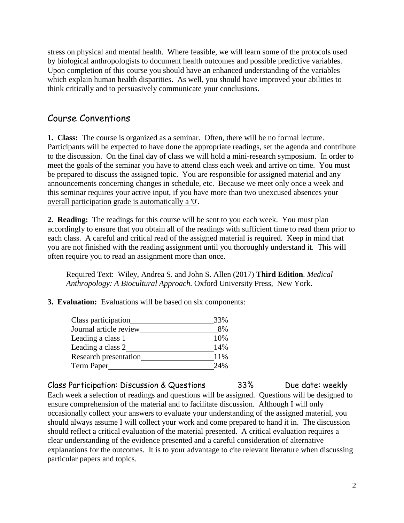stress on physical and mental health. Where feasible, we will learn some of the protocols used by biological anthropologists to document health outcomes and possible predictive variables. Upon completion of this course you should have an enhanced understanding of the variables which explain human health disparities. As well, you should have improved your abilities to think critically and to persuasively communicate your conclusions.

# Course Conventions

**1. Class:**The course is organized as a seminar. Often, there will be no formal lecture. Participants will be expected to have done the appropriate readings, set the agenda and contribute to the discussion. On the final day of class we will hold a mini-research symposium. In order to meet the goals of the seminar you have to attend class each week and arrive on time. You must be prepared to discuss the assigned topic. You are responsible for assigned material and any announcements concerning changes in schedule, etc. Because we meet only once a week and this seminar requires your active input, if you have more than two unexcused absences your overall participation grade is automatically a '0'.

**2. Reading:** The readings for this course will be sent to you each week. You must plan accordingly to ensure that you obtain all of the readings with sufficient time to read them prior to each class. A careful and critical read of the assigned material is required. Keep in mind that you are not finished with the reading assignment until you thoroughly understand it. This will often require you to read an assignment more than once.

Required Text:Wiley, Andrea S. and John S. Allen (2017) **Third Edition**. *Medical Anthropology: A Biocultural Approach.* Oxford University Press, New York.

**3. Evaluation:** Evaluations will be based on six components:

| Class participation          | 33% |  |
|------------------------------|-----|--|
| Journal article review       | 8%  |  |
| Leading a class 1            | 10% |  |
| Leading a class 2            | 14% |  |
| <b>Research presentation</b> | 11% |  |
| <b>Term Paper</b>            | 24% |  |

Class Participation: Discussion & Questions 33% Due date: weekly Each week a selection of readings and questions will be assigned. Questions will be designed to ensure comprehension of the material and to facilitate discussion. Although I will only occasionally collect your answers to evaluate your understanding of the assigned material, you should always assume I will collect your work and come prepared to hand it in. The discussion should reflect a critical evaluation of the material presented. A critical evaluation requires a clear understanding of the evidence presented and a careful consideration of alternative explanations for the outcomes. It is to your advantage to cite relevant literature when discussing particular papers and topics.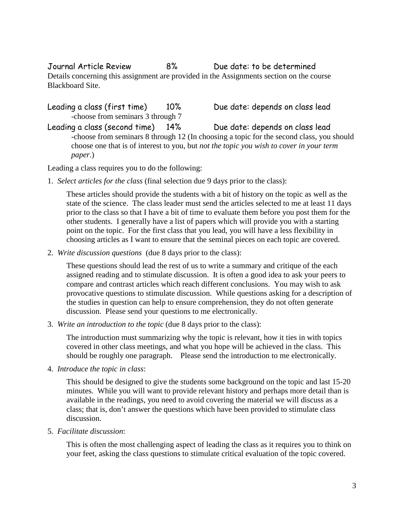Journal Article Review 8% Due date: to be determined Details concerning this assignment are provided in the Assignments section on the course Blackboard Site.

Leading a class (first time) 10% Due date: depends on class lead -choose from seminars 3 through 7 Leading a class (second time) 14% Due date: depends on class lead -choose from seminars 8 through 12 (In choosing a topic for the second class, you should choose one that is of interest to you, but *not the topic you wish to cover in your term* 

Leading a class requires you to do the following:

*paper*.)

1. *Select articles for the class* (final selection due 9 days prior to the class):

These articles should provide the students with a bit of history on the topic as well as the state of the science. The class leader must send the articles selected to me at least 11 days prior to the class so that I have a bit of time to evaluate them before you post them for the other students. I generally have a list of papers which will provide you with a starting point on the topic. For the first class that you lead, you will have a less flexibility in choosing articles as I want to ensure that the seminal pieces on each topic are covered.

2. *Write discussion questions* (due 8 days prior to the class):

These questions should lead the rest of us to write a summary and critique of the each assigned reading and to stimulate discussion. It is often a good idea to ask your peers to compare and contrast articles which reach different conclusions. You may wish to ask provocative questions to stimulate discussion. While questions asking for a description of the studies in question can help to ensure comprehension, they do not often generate discussion. Please send your questions to me electronically.

3. *Write an introduction to the topic* (due 8 days prior to the class):

The introduction must summarizing why the topic is relevant, how it ties in with topics covered in other class meetings, and what you hope will be achieved in the class. This should be roughly one paragraph. Please send the introduction to me electronically.

4. *Introduce the topic in class*:

This should be designed to give the students some background on the topic and last 15-20 minutes. While you will want to provide relevant history and perhaps more detail than is available in the readings, you need to avoid covering the material we will discuss as a class; that is, don't answer the questions which have been provided to stimulate class discussion.

5. *Facilitate discussion*:

This is often the most challenging aspect of leading the class as it requires you to think on your feet, asking the class questions to stimulate critical evaluation of the topic covered.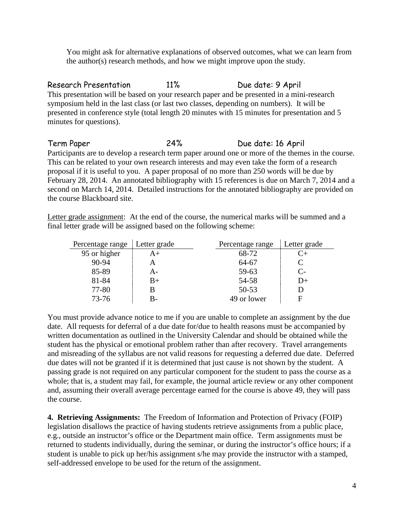You might ask for alternative explanations of observed outcomes, what we can learn from the author(s) research methods, and how we might improve upon the study.

Research Presentation 11% Due date: 9 April This presentation will be based on your research paper and be presented in a mini-research symposium held in the last class (or last two classes, depending on numbers). It will be presented in conference style (total length 20 minutes with 15 minutes for presentation and 5 minutes for questions).

Term Paper 24% Due date: 16 April Participants are to develop a research term paper around one or more of the themes in the course. This can be related to your own research interests and may even take the form of a research proposal if it is useful to you. A paper proposal of no more than 250 words will be due by February 28, 2014. An annotated bibliography with 15 references is due on March 7, 2014 and a second on March 14, 2014. Detailed instructions for the annotated bibliography are provided on the course Blackboard site.

Letter grade assignment: At the end of the course, the numerical marks will be summed and a final letter grade will be assigned based on the following scheme:

| Percentage range | Letter grade | Percentage range | Letter grade         |
|------------------|--------------|------------------|----------------------|
| 95 or higher     | A+           | 68-72            | $C_{\pm}$            |
| $90 - 94$        | А            | 64-67            | C                    |
| 85-89            | А-           | 59-63            | $\mathsf{C}\text{-}$ |
| 81-84            | $B+$         | 54-58            | $D+$                 |
| 77-80            | В            | $50 - 53$        |                      |
| $73 - 76$        | B-           | 49 or lower      | F                    |

You must provide advance notice to me if you are unable to complete an assignment by the due date. All requests for deferral of a due date for/due to health reasons must be accompanied by written documentation as outlined in the University Calendar and should be obtained while the student has the physical or emotional problem rather than after recovery. Travel arrangements and misreading of the syllabus are not valid reasons for requesting a deferred due date. Deferred due dates will not be granted if it is determined that just cause is not shown by the student. A passing grade is not required on any particular component for the student to pass the course as a whole; that is, a student may fail, for example, the journal article review or any other component and, assuming their overall average percentage earned for the course is above 49, they will pass the course.

**4. Retrieving Assignments:** The Freedom of Information and Protection of Privacy (FOIP) legislation disallows the practice of having students retrieve assignments from a public place, e.g., outside an instructor's office or the Department main office. Term assignments must be returned to students individually, during the seminar, or during the instructor's office hours; if a student is unable to pick up her/his assignment s/he may provide the instructor with a stamped, self-addressed envelope to be used for the return of the assignment.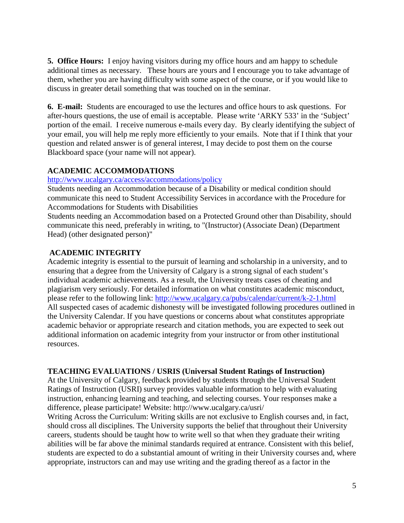**5. Office Hours:**I enjoy having visitors during my office hours and am happy to schedule additional times as necessary. These hours are yours and I encourage you to take advantage of them, whether you are having difficulty with some aspect of the course, or if you would like to discuss in greater detail something that was touched on in the seminar.

**6. E-mail:** Students are encouraged to use the lectures and office hours to ask questions. For after-hours questions, the use of email is acceptable. Please write 'ARKY 533' in the 'Subject' portion of the email. I receive numerous e-mails every day. By clearly identifying the subject of your email, you will help me reply more efficiently to your emails. Note that if I think that your question and related answer is of general interest, I may decide to post them on the course Blackboard space (your name will not appear).

## **ACADEMIC ACCOMMODATIONS**

#### <http://www.ucalgary.ca/access/accommodations/policy>

Students needing an Accommodation because of a Disability or medical condition should communicate this need to Student Accessibility Services in accordance with the Procedure for Accommodations for Students with Disabilities

Students needing an Accommodation based on a Protected Ground other than Disability, should communicate this need, preferably in writing, to "(Instructor) (Associate Dean) (Department Head) (other designated person)"

## **ACADEMIC INTEGRITY**

Academic integrity is essential to the pursuit of learning and scholarship in a university, and to ensuring that a degree from the University of Calgary is a strong signal of each student's individual academic achievements. As a result, the University treats cases of cheating and plagiarism very seriously. For detailed information on what constitutes academic misconduct, please refer to the following link:<http://www.ucalgary.ca/pubs/calendar/current/k-2-1.html> All suspected cases of academic dishonesty will be investigated following procedures outlined in the University Calendar. If you have questions or concerns about what constitutes appropriate academic behavior or appropriate research and citation methods, you are expected to seek out additional information on academic integrity from your instructor or from other institutional resources.

## **TEACHING EVALUATIONS / USRIS (Universal Student Ratings of Instruction)**

At the University of Calgary, feedback provided by students through the Universal Student Ratings of Instruction (USRI) survey provides valuable information to help with evaluating instruction, enhancing learning and teaching, and selecting courses. Your responses make a difference, please participate! Website: http://www.ucalgary.ca/usri/

Writing Across the Curriculum: Writing skills are not exclusive to English courses and, in fact, should cross all disciplines. The University supports the belief that throughout their University careers, students should be taught how to write well so that when they graduate their writing abilities will be far above the minimal standards required at entrance. Consistent with this belief, students are expected to do a substantial amount of writing in their University courses and, where appropriate, instructors can and may use writing and the grading thereof as a factor in the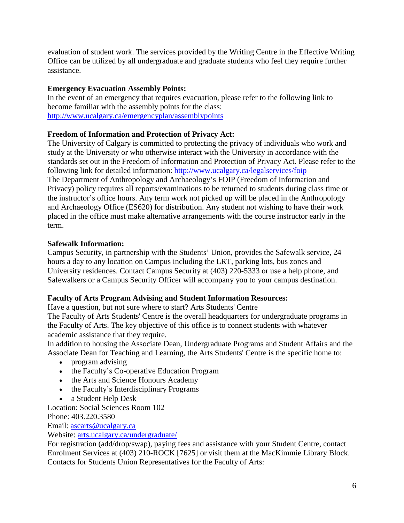evaluation of student work. The services provided by the Writing Centre in the Effective Writing Office can be utilized by all undergraduate and graduate students who feel they require further assistance.

## **Emergency Evacuation Assembly Points:**

In the event of an emergency that requires evacuation, please refer to the following link to become familiar with the assembly points for the class: <http://www.ucalgary.ca/emergencyplan/assemblypoints>

## **Freedom of Information and Protection of Privacy Act:**

The University of Calgary is committed to protecting the privacy of individuals who work and study at the University or who otherwise interact with the University in accordance with the standards set out in the Freedom of Information and Protection of Privacy Act. Please refer to the following link for detailed information: <http://www.ucalgary.ca/legalservices/foip> The Department of Anthropology and Archaeology's FOIP (Freedom of Information and Privacy) policy requires all reports/examinations to be returned to students during class time or the instructor's office hours. Any term work not picked up will be placed in the Anthropology and Archaeology Office (ES620) for distribution. Any student not wishing to have their work placed in the office must make alternative arrangements with the course instructor early in the term.

## **Safewalk Information:**

Campus Security, in partnership with the Students' Union, provides the Safewalk service, 24 hours a day to any location on Campus including the LRT, parking lots, bus zones and University residences. Contact Campus Security at (403) 220-5333 or use a help phone, and Safewalkers or a Campus Security Officer will accompany you to your campus destination.

## **Faculty of Arts Program Advising and Student Information Resources:**

Have a question, but not sure where to start? Arts Students' Centre

The Faculty of Arts Students' Centre is the overall headquarters for undergraduate programs in the Faculty of Arts. The key objective of this office is to connect students with whatever academic assistance that they require.

In addition to housing the Associate Dean, Undergraduate Programs and Student Affairs and the Associate Dean for Teaching and Learning, the Arts Students' Centre is the specific home to:

- program advising
- the Faculty's Co-operative Education Program
- the Arts and Science Honours Academy
- the Faculty's Interdisciplinary Programs
- a Student Help Desk

Location: Social Sciences Room 102 Phone: 403.220.3580

Email: [ascarts@ucalgary.ca](http://ucalgary.ca/pubs/calendar/current/ascarts@ucalgary.ca)

Website: [arts.ucalgary.ca/undergraduate/](http://arts.ucalgary.ca/undergraduate/)

For registration (add/drop/swap), paying fees and assistance with your Student Centre, contact Enrolment Services at (403) 210-ROCK [7625] or visit them at the MacKimmie Library Block. Contacts for Students Union Representatives for the Faculty of Arts: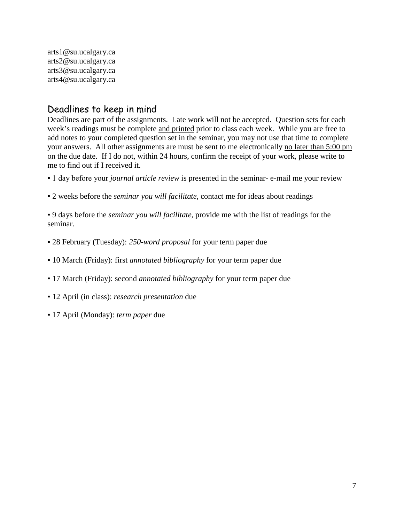arts1@su.ucalgary.ca arts2@su.ucalgary.ca arts3@su.ucalgary.ca arts4@su.ucalgary.ca

# Deadlines to keep in mind

Deadlines are part of the assignments. Late work will not be accepted. Question sets for each week's readings must be complete and printed prior to class each week. While you are free to add notes to your completed question set in the seminar, you may not use that time to complete your answers. All other assignments are must be sent to me electronically no later than 5:00 pm on the due date. If I do not, within 24 hours, confirm the receipt of your work, please write to me to find out if I received it.

- 1 day before your *journal article review* is presented in the seminar- e-mail me your review
- 2 weeks before the *seminar you will facilitate*, contact me for ideas about readings

▪ 9 days before the *seminar you will facilitate*, provide me with the list of readings for the seminar.

- 28 February (Tuesday): *250-word proposal* for your term paper due
- 10 March (Friday): first *annotated bibliography* for your term paper due
- 17 March (Friday): second *annotated bibliography* for your term paper due
- 12 April (in class): *research presentation* due
- 17 April (Monday): *term paper* due